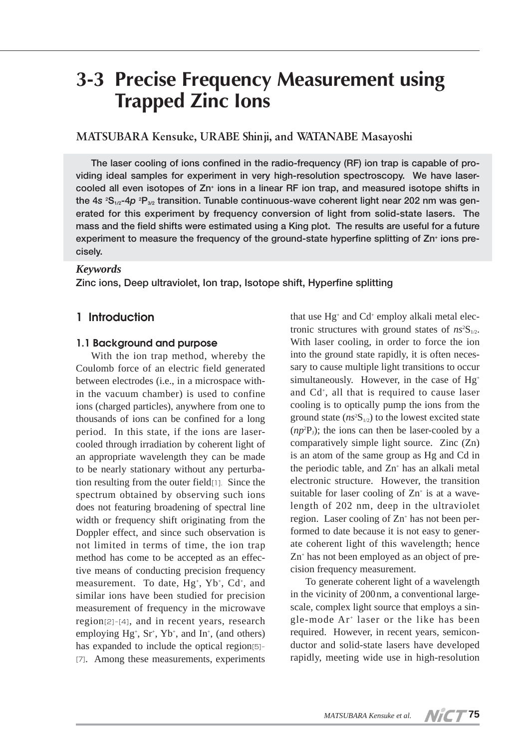# **3-3 Precise Frequency Measurement using Trapped Zinc Ions**

# **MATSUBARA Kensuke, URABE Shinji, and WATANABE Masayoshi**

**The laser cooling of ions confined in the radio-frequency (RF) ion trap is capable of providing ideal samples for experiment in very high-resolution spectroscopy. We have lasercooled all even isotopes of Zn+ ions in a linear RF ion trap, and measured isotope shifts in the 4***s* **<sup>2</sup> S1/2-4***p* **<sup>2</sup> P3/2 transition. Tunable continuous-wave coherent light near 202 nm was generated for this experiment by frequency conversion of light from solid-state lasers. The mass and the field shifts were estimated using a King plot. The results are useful for a future experiment to measure the frequency of the ground-state hyperfine splitting of Zn+ ions precisely.**

#### *Keywords*

**Zinc ions, Deep ultraviolet, Ion trap, Isotope shift, Hyperfine splitting**

## **1 Introduction**

#### **1.1 Background and purpose**

With the ion trap method, whereby the Coulomb force of an electric field generated between electrodes (i.e., in a microspace within the vacuum chamber) is used to confine ions (charged particles), anywhere from one to thousands of ions can be confined for a long period. In this state, if the ions are lasercooled through irradiation by coherent light of an appropriate wavelength they can be made to be nearly stationary without any perturbation resulting from the outer field[1]. Since the spectrum obtained by observing such ions does not featuring broadening of spectral line width or frequency shift originating from the Doppler effect, and since such observation is not limited in terms of time, the ion trap method has come to be accepted as an effective means of conducting precision frequency measurement. To date, Hg<sup>+</sup>, Yb<sup>+</sup>, Cd<sup>+</sup>, and similar ions have been studied for precision measurement of frequency in the microwave region[2]-[4], and in recent years, research employing  $Hg^*$ ,  $Sr^*$ ,  $Yb^*$ , and  $In^*$ , (and others) has expanded to include the optical region[5]- [7]. Among these measurements, experiments

that use Hg+ and Cd+ employ alkali metal electronic structures with ground states of  $n s^2 S_{1/2}$ . With laser cooling, in order to force the ion into the ground state rapidly, it is often necessary to cause multiple light transitions to occur simultaneously. However, in the case of Hg<sup>+</sup> and Cd+ , all that is required to cause laser cooling is to optically pump the ions from the ground state  $(ns^2S_{1/2})$  to the lowest excited state  $(np^2P_1)$ ; the ions can then be laser-cooled by a comparatively simple light source. Zinc (Zn) is an atom of the same group as Hg and Cd in the periodic table, and  $Zn<sup>+</sup>$  has an alkali metal electronic structure. However, the transition suitable for laser cooling of  $Zn^+$  is at a wavelength of 202 nm, deep in the ultraviolet region. Laser cooling of  $Zn^+$  has not been performed to date because it is not easy to generate coherent light of this wavelength; hence Zn+ has not been employed as an object of precision frequency measurement.

To generate coherent light of a wavelength in the vicinity of 200nm, a conventional largescale, complex light source that employs a single-mode  $Ar^+$  laser or the like has been required. However, in recent years, semiconductor and solid-state lasers have developed rapidly, meeting wide use in high-resolution

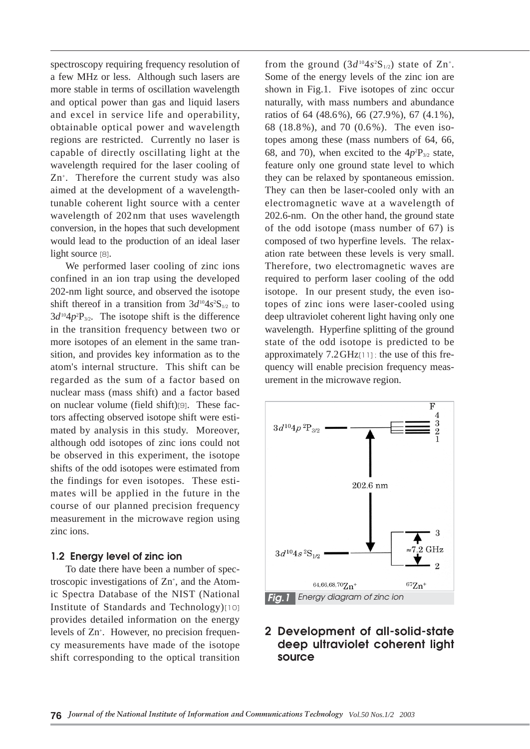spectroscopy requiring frequency resolution of a few MHz or less. Although such lasers are more stable in terms of oscillation wavelength and optical power than gas and liquid lasers and excel in service life and operability, obtainable optical power and wavelength regions are restricted. Currently no laser is capable of directly oscillating light at the wavelength required for the laser cooling of Zn+ . Therefore the current study was also aimed at the development of a wavelengthtunable coherent light source with a center wavelength of 202nm that uses wavelength conversion, in the hopes that such development would lead to the production of an ideal laser light source [8].

We performed laser cooling of zinc ions confined in an ion trap using the developed 202-nm light source, and observed the isotope shift thereof in a transition from  $3d^{10}4s^2S_{1/2}$  to  $3d^{10}4p^2P_{3/2}$ . The isotope shift is the difference in the transition frequency between two or more isotopes of an element in the same transition, and provides key information as to the atom's internal structure. This shift can be regarded as the sum of a factor based on nuclear mass (mass shift) and a factor based on nuclear volume (field shift)[9]. These factors affecting observed isotope shift were estimated by analysis in this study. Moreover, although odd isotopes of zinc ions could not be observed in this experiment, the isotope shifts of the odd isotopes were estimated from the findings for even isotopes. These estimates will be applied in the future in the course of our planned precision frequency measurement in the microwave region using zinc ions.

#### **1.2 Energy level of zinc ion**

To date there have been a number of spectroscopic investigations of  $Zn^{+}$ , and the Atomic Spectra Database of the NIST (National Institute of Standards and Technology)[10] provides detailed information on the energy levels of Zn<sup>+</sup>. However, no precision frequency measurements have made of the isotope shift corresponding to the optical transition

from the ground  $(3d^{10}4s^2S_{1/2})$  state of Zn<sup>+</sup>. Some of the energy levels of the zinc ion are shown in Fig.1. Five isotopes of zinc occur naturally, with mass numbers and abundance ratios of 64 (48.6%), 66 (27.9%), 67 (4.1%), 68 (18.8%), and 70 (0.6%). The even isotopes among these (mass numbers of 64, 66, 68, and 70), when excited to the  $4p^2P_{3/2}$  state, feature only one ground state level to which they can be relaxed by spontaneous emission. They can then be laser-cooled only with an electromagnetic wave at a wavelength of 202.6-nm. On the other hand, the ground state of the odd isotope (mass number of 67) is composed of two hyperfine levels. The relaxation rate between these levels is very small. Therefore, two electromagnetic waves are required to perform laser cooling of the odd isotope. In our present study, the even isotopes of zinc ions were laser-cooled using deep ultraviolet coherent light having only one wavelength. Hyperfine splitting of the ground state of the odd isotope is predicted to be approximately 7.2GHz[11] ; the use of this frequency will enable precision frequency measurement in the microwave region.



# **2 Development of all-solid-state deep ultraviolet coherent light source**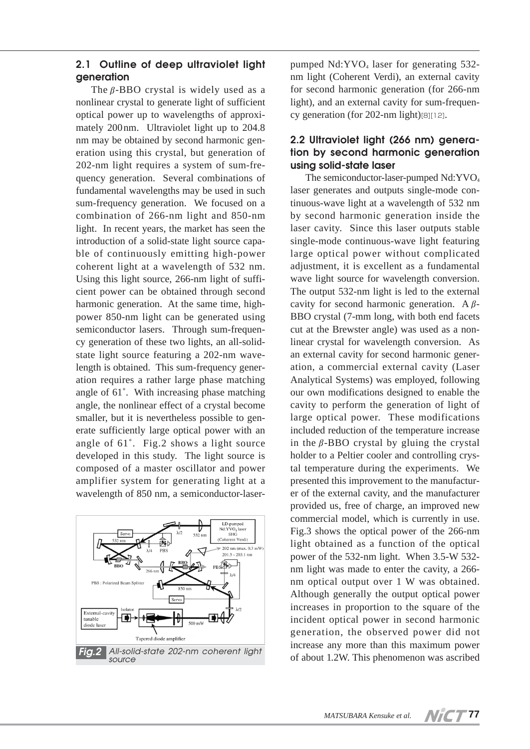#### **2.1 Outline of deep ultraviolet light generation**

The  $\beta$ -BBO crystal is widely used as a nonlinear crystal to generate light of sufficient optical power up to wavelengths of approximately 200nm. Ultraviolet light up to 204.8 nm may be obtained by second harmonic generation using this crystal, but generation of 202-nm light requires a system of sum-frequency generation. Several combinations of fundamental wavelengths may be used in such sum-frequency generation. We focused on a combination of 266-nm light and 850-nm light. In recent years, the market has seen the introduction of a solid-state light source capable of continuously emitting high-power coherent light at a wavelength of 532 nm. Using this light source, 266-nm light of sufficient power can be obtained through second harmonic generation. At the same time, highpower 850-nm light can be generated using semiconductor lasers. Through sum-frequency generation of these two lights, an all-solidstate light source featuring a 202-nm wavelength is obtained. This sum-frequency generation requires a rather large phase matching angle of 61˚. With increasing phase matching angle, the nonlinear effect of a crystal become smaller, but it is nevertheless possible to generate sufficiently large optical power with an angle of 61˚. Fig.2 shows a light source developed in this study. The light source is composed of a master oscillator and power amplifier system for generating light at a wavelength of 850 nm, a semiconductor-laser-



pumped  $Nd:YVO<sub>4</sub>$  laser for generating 532nm light (Coherent Verdi), an external cavity for second harmonic generation (for 266-nm light), and an external cavity for sum-frequency generation (for 202-nm light)[8][12].

## **2.2 Ultraviolet light (266 nm) generation by second harmonic generation using solid-state laser**

The semiconductor-laser-pumped Nd:YVO<sub>4</sub> laser generates and outputs single-mode continuous-wave light at a wavelength of 532 nm by second harmonic generation inside the laser cavity. Since this laser outputs stable single-mode continuous-wave light featuring large optical power without complicated adjustment, it is excellent as a fundamental wave light source for wavelength conversion. The output 532-nm light is led to the external cavity for second harmonic generation. A  $\beta$ -BBO crystal (7-mm long, with both end facets cut at the Brewster angle) was used as a nonlinear crystal for wavelength conversion. As an external cavity for second harmonic generation, a commercial external cavity (Laser Analytical Systems) was employed, following our own modifications designed to enable the cavity to perform the generation of light of large optical power. These modifications included reduction of the temperature increase in the  $\beta$ -BBO crystal by gluing the crystal holder to a Peltier cooler and controlling crystal temperature during the experiments. We presented this improvement to the manufacturer of the external cavity, and the manufacturer provided us, free of charge, an improved new commercial model, which is currently in use. Fig.3 shows the optical power of the 266-nm light obtained as a function of the optical power of the 532-nm light. When 3.5-W 532 nm light was made to enter the cavity, a 266 nm optical output over 1 W was obtained. Although generally the output optical power increases in proportion to the square of the incident optical power in second harmonic generation, the observed power did not increase any more than this maximum power of about 1.2W. This phenomenon was ascribed

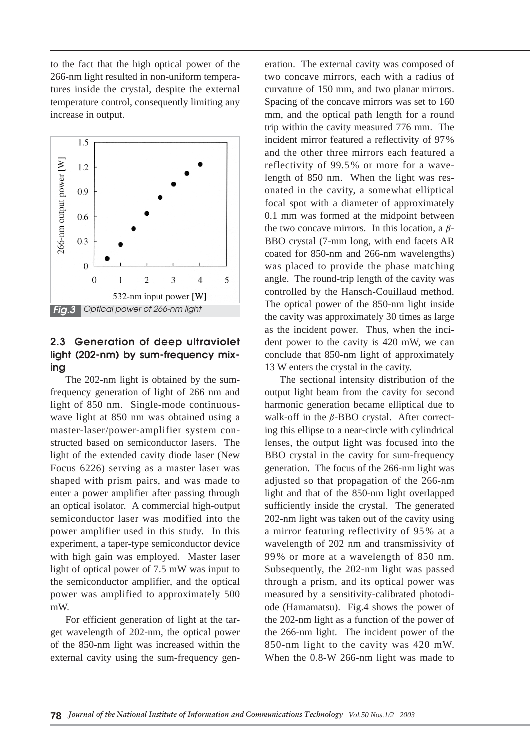to the fact that the high optical power of the 266-nm light resulted in non-uniform temperatures inside the crystal, despite the external temperature control, consequently limiting any increase in output.



#### **2.3 Generation of deep ultraviolet light (202-nm) by sum-frequency mixing**

The 202-nm light is obtained by the sumfrequency generation of light of 266 nm and light of 850 nm. Single-mode continuouswave light at 850 nm was obtained using a master-laser/power-amplifier system constructed based on semiconductor lasers. The light of the extended cavity diode laser (New Focus 6226) serving as a master laser was shaped with prism pairs, and was made to enter a power amplifier after passing through an optical isolator. A commercial high-output semiconductor laser was modified into the power amplifier used in this study. In this experiment, a taper-type semiconductor device with high gain was employed. Master laser light of optical power of 7.5 mW was input to the semiconductor amplifier, and the optical power was amplified to approximately 500 mW.

For efficient generation of light at the target wavelength of 202-nm, the optical power of the 850-nm light was increased within the external cavity using the sum-frequency generation. The external cavity was composed of two concave mirrors, each with a radius of curvature of 150 mm, and two planar mirrors. Spacing of the concave mirrors was set to 160 mm, and the optical path length for a round trip within the cavity measured 776 mm. The incident mirror featured a reflectivity of 97% and the other three mirrors each featured a reflectivity of 99.5% or more for a wavelength of 850 nm. When the light was resonated in the cavity, a somewhat elliptical focal spot with a diameter of approximately 0.1 mm was formed at the midpoint between the two concave mirrors. In this location, a  $\beta$ -BBO crystal (7-mm long, with end facets AR coated for 850-nm and 266-nm wavelengths) was placed to provide the phase matching angle. The round-trip length of the cavity was controlled by the Hansch-Couillaud method. The optical power of the 850-nm light inside the cavity was approximately 30 times as large as the incident power. Thus, when the incident power to the cavity is 420 mW, we can conclude that 850-nm light of approximately 13 W enters the crystal in the cavity.

The sectional intensity distribution of the output light beam from the cavity for second harmonic generation became elliptical due to walk-off in the  $\beta$ -BBO crystal. After correcting this ellipse to a near-circle with cylindrical lenses, the output light was focused into the BBO crystal in the cavity for sum-frequency generation. The focus of the 266-nm light was adjusted so that propagation of the 266-nm light and that of the 850-nm light overlapped sufficiently inside the crystal. The generated 202-nm light was taken out of the cavity using a mirror featuring reflectivity of 95% at a wavelength of 202 nm and transmissivity of 99% or more at a wavelength of 850 nm. Subsequently, the 202-nm light was passed through a prism, and its optical power was measured by a sensitivity-calibrated photodiode (Hamamatsu). Fig.4 shows the power of the 202-nm light as a function of the power of the 266-nm light. The incident power of the 850-nm light to the cavity was 420 mW. When the 0.8-W 266-nm light was made to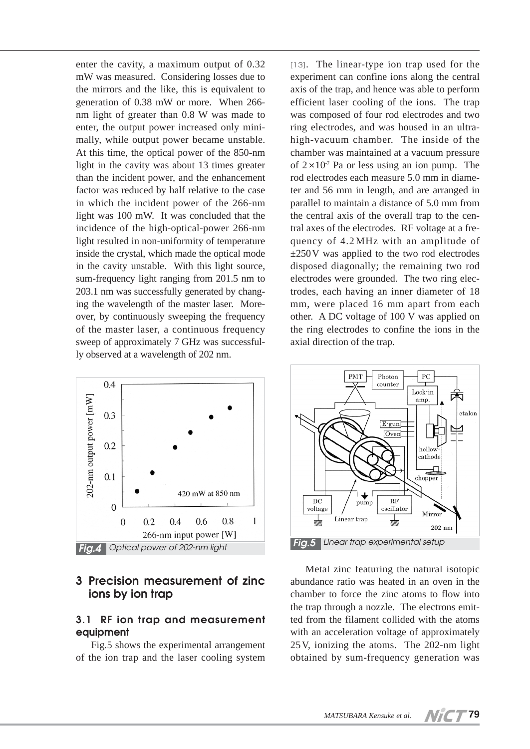enter the cavity, a maximum output of 0.32 mW was measured. Considering losses due to the mirrors and the like, this is equivalent to generation of 0.38 mW or more. When 266 nm light of greater than 0.8 W was made to enter, the output power increased only minimally, while output power became unstable. At this time, the optical power of the 850-nm light in the cavity was about 13 times greater than the incident power, and the enhancement factor was reduced by half relative to the case in which the incident power of the 266-nm light was 100 mW. It was concluded that the incidence of the high-optical-power 266-nm light resulted in non-uniformity of temperature inside the crystal, which made the optical mode in the cavity unstable. With this light source, sum-frequency light ranging from 201.5 nm to 203.1 nm was successfully generated by changing the wavelength of the master laser. Moreover, by continuously sweeping the frequency of the master laser, a continuous frequency sweep of approximately 7 GHz was successfully observed at a wavelength of 202 nm.



## **3 Precision measurement of zinc ions by ion trap**

## **3.1 RF ion trap and measurement equipment**

Fig.5 shows the experimental arrangement of the ion trap and the laser cooling system

[13]. The linear-type ion trap used for the experiment can confine ions along the central axis of the trap, and hence was able to perform efficient laser cooling of the ions. The trap was composed of four rod electrodes and two ring electrodes, and was housed in an ultrahigh-vacuum chamber. The inside of the chamber was maintained at a vacuum pressure of  $2 \times 10^7$  Pa or less using an ion pump. The rod electrodes each measure 5.0 mm in diameter and 56 mm in length, and are arranged in parallel to maintain a distance of 5.0 mm from the central axis of the overall trap to the central axes of the electrodes. RF voltage at a frequency of 4.2MHz with an amplitude of  $\pm 250$ V was applied to the two rod electrodes disposed diagonally; the remaining two rod electrodes were grounded. The two ring electrodes, each having an inner diameter of 18 mm, were placed 16 mm apart from each other. A DC voltage of 100 V was applied on the ring electrodes to confine the ions in the axial direction of the trap.



Metal zinc featuring the natural isotopic abundance ratio was heated in an oven in the chamber to force the zinc atoms to flow into the trap through a nozzle. The electrons emitted from the filament collided with the atoms with an acceleration voltage of approximately 25V, ionizing the atoms. The 202-nm light obtained by sum-frequency generation was

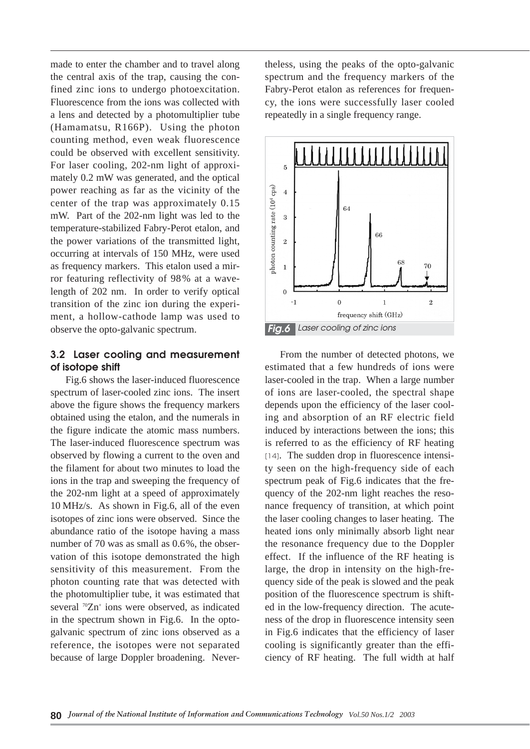made to enter the chamber and to travel along the central axis of the trap, causing the confined zinc ions to undergo photoexcitation. Fluorescence from the ions was collected with a lens and detected by a photomultiplier tube (Hamamatsu, R166P). Using the photon counting method, even weak fluorescence could be observed with excellent sensitivity. For laser cooling, 202-nm light of approximately 0.2 mW was generated, and the optical power reaching as far as the vicinity of the center of the trap was approximately 0.15 mW. Part of the 202-nm light was led to the temperature-stabilized Fabry-Perot etalon, and the power variations of the transmitted light, occurring at intervals of 150 MHz, were used as frequency markers. This etalon used a mirror featuring reflectivity of 98% at a wavelength of 202 nm. In order to verify optical transition of the zinc ion during the experiment, a hollow-cathode lamp was used to observe the opto-galvanic spectrum.

#### **3.2 Laser cooling and measurement of isotope shift**

Fig.6 shows the laser-induced fluorescence spectrum of laser-cooled zinc ions. The insert above the figure shows the frequency markers obtained using the etalon, and the numerals in the figure indicate the atomic mass numbers. The laser-induced fluorescence spectrum was observed by flowing a current to the oven and the filament for about two minutes to load the ions in the trap and sweeping the frequency of the 202-nm light at a speed of approximately 10 MHz/s. As shown in Fig.6, all of the even isotopes of zinc ions were observed. Since the abundance ratio of the isotope having a mass number of 70 was as small as 0.6%, the observation of this isotope demonstrated the high sensitivity of this measurement. From the photon counting rate that was detected with the photomultiplier tube, it was estimated that several <sup>70</sup>Zn<sup>+</sup> ions were observed, as indicated in the spectrum shown in Fig.6. In the optogalvanic spectrum of zinc ions observed as a reference, the isotopes were not separated because of large Doppler broadening. Nevertheless, using the peaks of the opto-galvanic spectrum and the frequency markers of the Fabry-Perot etalon as references for frequency, the ions were successfully laser cooled repeatedly in a single frequency range.



From the number of detected photons, we estimated that a few hundreds of ions were laser-cooled in the trap. When a large number of ions are laser-cooled, the spectral shape depends upon the efficiency of the laser cooling and absorption of an RF electric field induced by interactions between the ions; this is referred to as the efficiency of RF heating [14]. The sudden drop in fluorescence intensity seen on the high-frequency side of each spectrum peak of Fig.6 indicates that the frequency of the 202-nm light reaches the resonance frequency of transition, at which point the laser cooling changes to laser heating. The heated ions only minimally absorb light near the resonance frequency due to the Doppler effect. If the influence of the RF heating is large, the drop in intensity on the high-frequency side of the peak is slowed and the peak position of the fluorescence spectrum is shifted in the low-frequency direction. The acuteness of the drop in fluorescence intensity seen in Fig.6 indicates that the efficiency of laser cooling is significantly greater than the efficiency of RF heating. The full width at half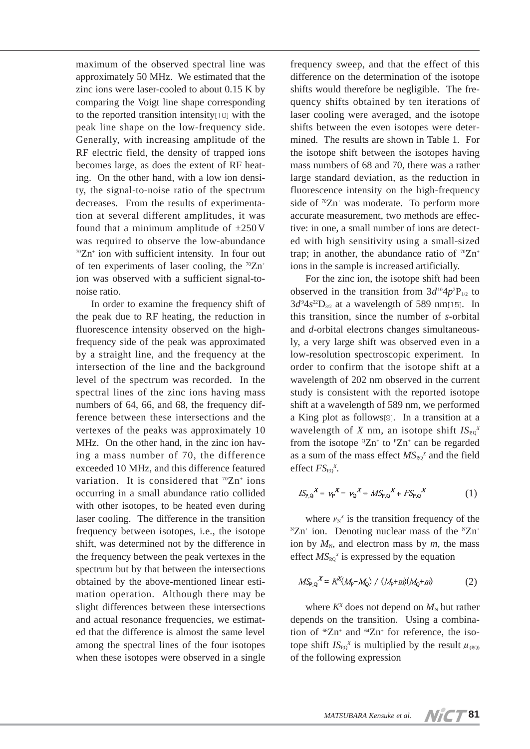maximum of the observed spectral line was approximately 50 MHz. We estimated that the zinc ions were laser-cooled to about 0.15 K by comparing the Voigt line shape corresponding to the reported transition intensity[10] with the peak line shape on the low-frequency side. Generally, with increasing amplitude of the RF electric field, the density of trapped ions becomes large, as does the extent of RF heating. On the other hand, with a low ion density, the signal-to-noise ratio of the spectrum decreases. From the results of experimentation at several different amplitudes, it was found that a minimum amplitude of  $\pm 250$  V was required to observe the low-abundance  $70Zn^+$  ion with sufficient intensity. In four out of ten experiments of laser cooling, the  $\sqrt{2}$ n<sup>+</sup> ion was observed with a sufficient signal-tonoise ratio.

In order to examine the frequency shift of the peak due to RF heating, the reduction in fluorescence intensity observed on the highfrequency side of the peak was approximated by a straight line, and the frequency at the intersection of the line and the background level of the spectrum was recorded. In the spectral lines of the zinc ions having mass numbers of 64, 66, and 68, the frequency difference between these intersections and the vertexes of the peaks was approximately 10 MHz. On the other hand, in the zinc ion having a mass number of 70, the difference exceeded 10 MHz, and this difference featured variation. It is considered that  $\sqrt[70]{2}n^+$  ions occurring in a small abundance ratio collided with other isotopes, to be heated even during laser cooling. The difference in the transition frequency between isotopes, i.e., the isotope shift, was determined not by the difference in the frequency between the peak vertexes in the spectrum but by that between the intersections obtained by the above-mentioned linear estimation operation. Although there may be slight differences between these intersections and actual resonance frequencies, we estimated that the difference is almost the same level among the spectral lines of the four isotopes when these isotopes were observed in a single

frequency sweep, and that the effect of this difference on the determination of the isotope shifts would therefore be negligible. The frequency shifts obtained by ten iterations of laser cooling were averaged, and the isotope shifts between the even isotopes were determined. The results are shown in Table 1. For the isotope shift between the isotopes having mass numbers of 68 and 70, there was a rather large standard deviation, as the reduction in fluorescence intensity on the high-frequency side of  $\sqrt{2n^+}$  was moderate. To perform more accurate measurement, two methods are effective: in one, a small number of ions are detected with high sensitivity using a small-sized trap; in another, the abundance ratio of  $\sqrt{2}$ n<sup>+</sup> ions in the sample is increased artificially.

For the zinc ion, the isotope shift had been observed in the transition from  $3d^{10}4p^2P_{1/2}$  to  $3d^{9}4s^{22}D_{3/2}$  at a wavelength of 589 nm<sup>[15]</sup>. In this transition, since the number of *s*-orbital and *d*-orbital electrons changes simultaneously, a very large shift was observed even in a low-resolution spectroscopic experiment. In order to confirm that the isotope shift at a wavelength of 202 nm observed in the current study is consistent with the reported isotope shift at a wavelength of 589 nm, we performed a King plot as follows[9]. In a transition at a wavelength of *X* nm, an isotope shift  $IS_{p0}^X$ from the isotope  ${}^{\circ}Zn$ <sup>+</sup> to  ${}^{\circ}Zn$ <sup>+</sup> can be regarded as a sum of the mass effect  $MS_{PQ}^X$  and the field effect  $FS_{RQ}^X$ .

$$
IS_{P,Q}^{\quad X} = v_P^X - v_Q^X = MS_{P,Q}^{\quad X} + FS_{P,Q}^{\quad X}
$$
 (1)

where  $v_N^x$  is the transition frequency of the  ${}^{\text{N}}Zn^+$  ion. Denoting nuclear mass of the  ${}^{\text{N}}Zn^+$ ion by  $M_N$ , and electron mass by  $m$ , the mass effect  $MS_{PQ}^X$  is expressed by the equation

$$
MS_{P,Q}^X = K^X(M_P - M_Q) / (M_P + m)(M_Q + m)
$$
 (2)

where  $K^x$  does not depend on  $M_N$  but rather depends on the transition. Using a combination of  $^{66}Zn^+$  and  $^{64}Zn^+$  for reference, the isotope shift  $I S_{\text{RO}}^X$  is multiplied by the result  $\mu_{\text{(RO)}}$ of the following expression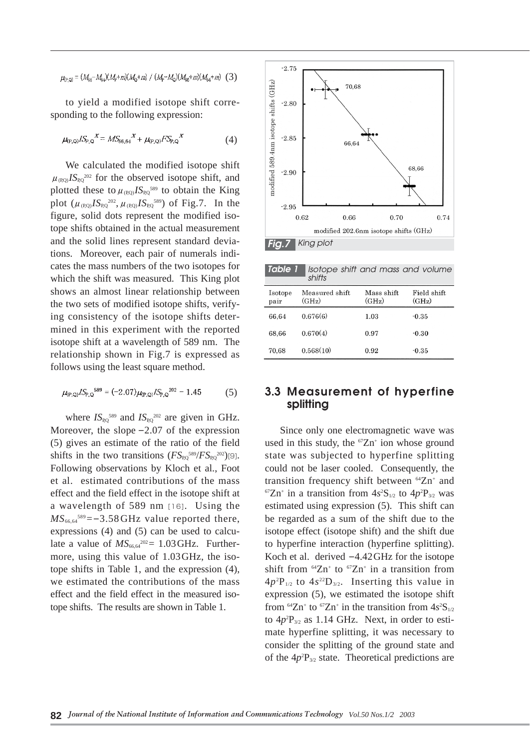#### $\mu_{P, Q} = (M_{66} - M_{64})(M_{\phi} + m)(M_{Q} + m) / (M_{\phi} - M_{Q})(M_{66} + m)(M_{64} + m)$  (3)

to yield a modified isotope shift corresponding to the following expression:

$$
\mu_{(P,Q)} I S_{P,Q}^X = M S_{66,64}^X + \mu_{(P,Q)} F S_{P,Q}^X \tag{4}
$$

We calculated the modified isotope shift  $\mu_{\text{(PO)}}$ *IS*<sub>P0</sub><sup>202</sup> for the observed isotope shift, and plotted these to  $\mu_{(P,Q)} I S_{P,Q}^{589}$  to obtain the King plot  $(\mu_{(P,Q)} I S_{P,Q}^{202}, \mu_{(P,Q)} I S_{P,Q}^{589})$  of Fig.7. In the figure, solid dots represent the modified isotope shifts obtained in the actual measurement and the solid lines represent standard deviations. Moreover, each pair of numerals indicates the mass numbers of the two isotopes for which the shift was measured. This King plot shows an almost linear relationship between the two sets of modified isotope shifts, verifying consistency of the isotope shifts determined in this experiment with the reported isotope shift at a wavelength of 589 nm. The relationship shown in Fig.7 is expressed as follows using the least square method.

$$
\mu_{(P,Q)} I S_{P,Q}^{589} = (-2.07) \mu_{(P,Q)} I S_{P,Q}^{202} - 1.45 \tag{5}
$$

where  $IS_{\text{PO}}^{589}$  and  $IS_{\text{PO}}^{202}$  are given in GHz. Moreover, the slope  $-2.07$  of the expression (5) gives an estimate of the ratio of the field shifts in the two transitions  $(FS_{RQ}^{589}/FS_{RQ}^{202})$ [9]. Following observations by Kloch et al., Foot et al. estimated contributions of the mass effect and the field effect in the isotope shift at a wavelength of 589 nm [16]. Using the  $MS<sub>66,64</sub><sup>589</sup> = -3.58 GHz$  value reported there, expressions (4) and (5) can be used to calculate a value of  $MS_{66,64}^{202} = 1.03 \text{ GHz}$ . Furthermore, using this value of 1.03GHz, the isotope shifts in Table 1, and the expression (4), we estimated the contributions of the mass effect and the field effect in the measured isotope shifts. The results are shown in Table 1.



| <b>Table 1</b>  | Isotope shift and mass and volume<br>shifts |                     |                      |
|-----------------|---------------------------------------------|---------------------|----------------------|
| Isotope<br>pair | Measured shift<br>(GHz)                     | Mass shift<br>(GHz) | Field shift<br>(GHz) |
| 66.64           | 0.676(6)                                    | 1.03                | $-0.35$              |
| 68,66           | 0.670(4)                                    | 0.97                | $-0.30$              |
| 70.68           | 0.568(10)                                   | 0.92                | $-0.35$              |

## **3.3 Measurement of hyperfine splitting**

Since only one electromagnetic wave was used in this study, the  ${}^{67}Zn$ <sup>+</sup> ion whose ground state was subjected to hyperfine splitting could not be laser cooled. Consequently, the transition frequency shift between  $^{64}Zn^+$  and <sup>67</sup>Zn<sup>+</sup> in a transition from  $4s^2S_{1/2}$  to  $4p^2P_{3/2}$  was estimated using expression (5). This shift can be regarded as a sum of the shift due to the isotope effect (isotope shift) and the shift due to hyperfine interaction (hyperfine splitting). Koch et al. derived  $-4.42$  GHz for the isotope shift from  $^{64}Zn^{+}$  to  $^{67}Zn^{+}$  in a transition from  $4p^2P_{1/2}$  to  $4s^{22}D_{3/2}$ . Inserting this value in expression (5), we estimated the isotope shift from  $^{64}Zn^+$  to  $^{67}Zn^+$  in the transition from  $4s^2S_{1/2}$ to  $4p^2P_{3/2}$  as 1.14 GHz. Next, in order to estimate hyperfine splitting, it was necessary to consider the splitting of the ground state and of the  $4p^2P_{3/2}$  state. Theoretical predictions are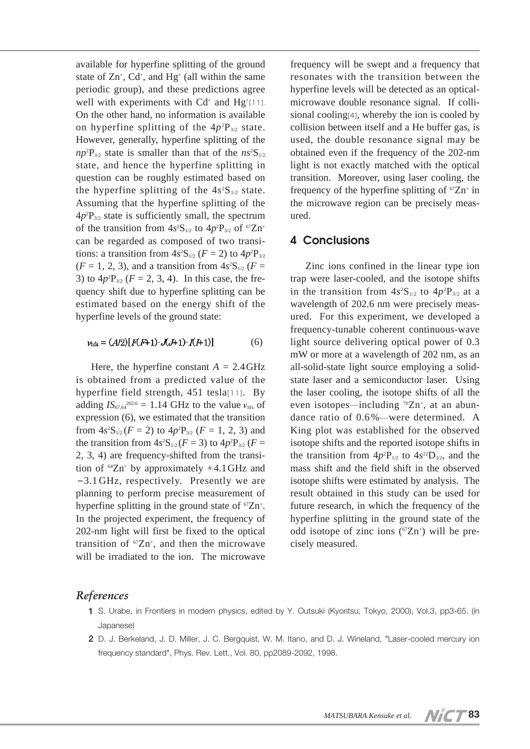available for hyperfine splitting of the ground state of  $Zn^{+}$ ,  $Cd^{+}$ , and  $Hg^{+}$  (all within the same periodic group), and these predictions agree well with experiments with  $Cd^*$  and  $Hg^{\dagger}$ [11]. On the other hand, no information is available on hyperfine splitting of the  $4p^2P_{3/2}$  state. However, generally, hyperfine splitting of the  $np^2P_{3/2}$  state is smaller than that of the  $ns^2S_{1/2}$ state, and hence the hyperfine splitting in question can be roughly estimated based on the hyperfine splitting of the  $4s<sup>2</sup>S<sub>1/2</sub>$  state. Assuming that the hyperfine splitting of the  $4p^2P_{3/2}$  state is sufficiently small, the spectrum of the transition from  $4s^2S_{1/2}$  to  $4p^2P_{3/2}$  of  $67Zn^+$ can be regarded as composed of two transitions: a transition from  $4s^2S_{1/2}$  ( $F = 2$ ) to  $4p^2P_{3/2}$  $(F = 1, 2, 3)$ , and a transition from  $4s<sup>2</sup>S<sub>1/2</sub>$  (*F* = 3) to  $4p^2P_{3/2}$  ( $F = 2, 3, 4$ ). In this case, the frequency shift due to hyperfine splitting can be estimated based on the energy shift of the hyperfine levels of the ground state:

 $v_{\text{hfs}} = (A/2)[F(F+1) \cdot J(J+1) \cdot I(F+1)]$ (6)

Here, the hyperfine constant  $A = 2.4$  GHz is obtained from a predicted value of the hyperfine field strength, 451 tesla[11]. By adding  $IS_{67,64}^{202.6} = 1.14 \text{ GHz}$  to the value  $v_{\text{hfs}}$  of expression (6), we estimated that the transition from  $4s^2S_{1/2}$  (*F* = 2) to  $4p^2P_{3/2}$  (*F* = 1, 2, 3) and the transition from  $4s^2S_{1/2}$  (*F* = 3) to  $4p^2P_{3/2}$  (*F* = 2, 3, 4) are frequency-shifted from the transition of  $^{64}Zn^+$  by approximately  $+4.1$  GHz and -3.1 GHz, respectively. Presently we are planning to perform precise measurement of hyperfine splitting in the ground state of  ${}^{67}Zn^+$ . In the projected experiment, the frequency of 202-nm light will first be fixed to the optical transition of  ${}^{67}Zn^+$ , and then the microwave will be irradiated to the ion. The microwave

frequency will be swept and a frequency that resonates with the transition between the hyperfine levels will be detected as an opticalmicrowave double resonance signal. If collisional cooling[4], whereby the ion is cooled by collision between itself and a He buffer gas, is used, the double resonance signal may be obtained even if the frequency of the 202-nm light is not exactly matched with the optical transition. Moreover, using laser cooling, the frequency of the hyperfine splitting of  $67Zn^+$  in the microwave region can be precisely measured.

#### **4 Conclusions**

Zinc ions confined in the linear type ion trap were laser-cooled, and the isotope shifts in the transition from  $4s^2S_{1/2}$  to  $4p^2P_{3/2}$  at a wavelength of 202.6 nm were precisely measured. For this experiment, we developed a frequency-tunable coherent continuous-wave light source delivering optical power of 0.3 mW or more at a wavelength of 202 nm, as an all-solid-state light source employing a solidstate laser and a semiconductor laser. Using the laser cooling, the isotope shifts of all the even isotopes—including <sup>70</sup>Zn<sup>+</sup>, at an abundance ratio of 0.6%―were determined. A King plot was established for the observed isotope shifts and the reported isotope shifts in the transition from  $4p^2P_{1/2}$  to  $4s^{22}D_{3/2}$ , and the mass shift and the field shift in the observed isotope shifts were estimated by analysis. The result obtained in this study can be used for future research, in which the frequency of the hyperfine splitting in the ground state of the odd isotope of zinc ions  $({}^{67}Zn^{+})$  will be precisely measured.

#### *References*

- **1** S. Urabe, in Frontiers in modern physics, edited by Y. Outsuki (Kyoritsu, Tokyo, 2000), Vol.3, pp3-65. (in Japanese)
- **2** D. J. Berkeland, J. D. Miller, J. C. Bergquist, W. M. Itano, and D. J. Wineland, "Laser-cooled mercury ion frequency standard", Phys. Rev. Lett., Vol. 80, pp2089-2092, 1998.